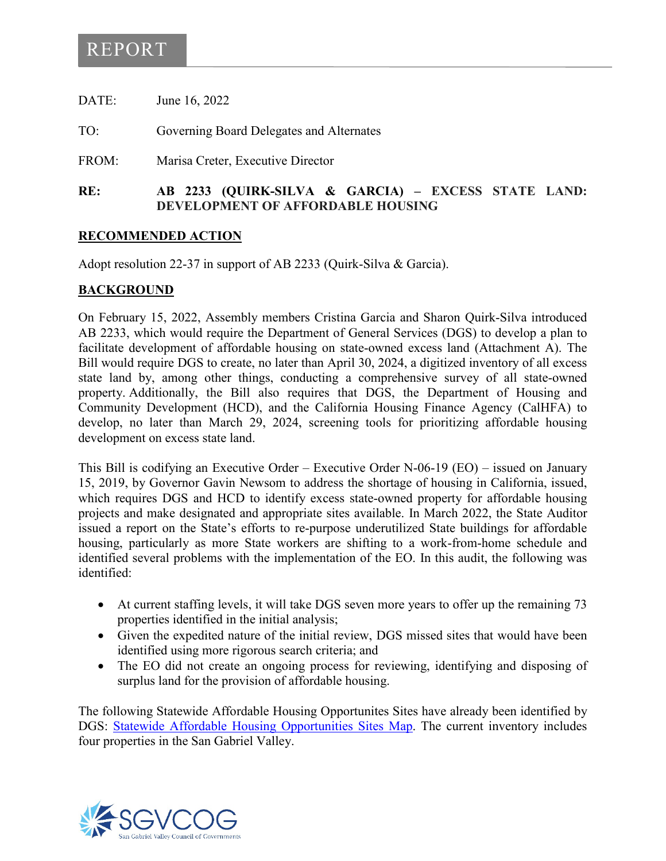# REPORT

| RF.   | AR 2233 (OHIRK-SILVA & GARCIA) – EXCE    |
|-------|------------------------------------------|
| FROM: | Marisa Creter, Executive Director        |
| TO:   | Governing Board Delegates and Alternates |
| DATE: | June 16, 2022                            |

#### GARCIA) – **EXCESS STATE LAND: DEVELOPMENT OF AFFORDABLE HOUSING**

### **RECOMMENDED ACTION**

Adopt resolution 22-37 in support of AB 2233 (Quirk-Silva & Garcia).

### **BACKGROUND**

On February 15, 2022, Assembly members Cristina Garcia and Sharon Quirk-Silva introduced AB 2233, which would require the Department of General Services (DGS) to develop a plan to facilitate development of affordable housing on state-owned excess land (Attachment A). The Bill would require DGS to create, no later than April 30, 2024, a digitized inventory of all excess state land by, among other things, conducting a comprehensive survey of all state-owned property. Additionally, the Bill also requires that DGS, the Department of Housing and Community Development (HCD), and the California Housing Finance Agency (CalHFA) to develop, no later than March 29, 2024, screening tools for prioritizing affordable housing development on excess state land.

This Bill is codifying an Executive Order – Executive Order N-06-19 (EO) – issued on January 15, 2019, by Governor Gavin Newsom to address the shortage of housing in California, issued, which requires DGS and HCD to identify excess state-owned property for affordable housing projects and make designated and appropriate sites available. In March 2022, the State Auditor issued a report on the State's efforts to re-purpose underutilized State buildings for affordable housing, particularly as more State workers are shifting to a work-from-home schedule and identified several problems with the implementation of the EO. In this audit, the following was identified:

- At current staffing levels, it will take DGS seven more years to offer up the remaining 73 properties identified in the initial analysis;
- Given the expedited nature of the initial review, DGS missed sites that would have been identified using more rigorous search criteria; and
- The EO did not create an ongoing process for reviewing, identifying and disposing of surplus land for the provision of affordable housing.

The following Statewide Affordable Housing Opportunites Sites have already been identified by DGS: [Statewide Affordable Housing Opportunities Sites Map.](https://cadgs.maps.arcgis.com/apps/webappviewer/index.html?id=392e5e687e9041bb8f20e3acc5b211c7) The current inventory includes four properties in the San Gabriel Valley.